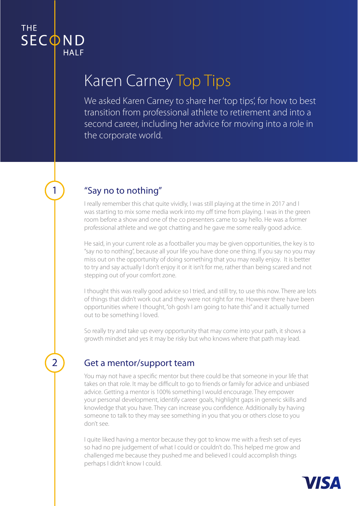$\overline{1}$ 

 $\overline{2}$ 

# Karen Carney Top Tips

We asked Karen Carney to share her 'top tips', for how to best transition from professional athlete to retirement and into a second career, including her advice for moving into a role in the corporate world.

# "Say no to nothing"

I really remember this chat quite vividly, I was still playing at the time in 2017 and I was starting to mix some media work into my off time from playing. I was in the green room before a show and one of the co presenters came to say hello. He was a former professional athlete and we got chatting and he gave me some really good advice.

He said, in your current role as a footballer you may be given opportunities, the key is to "say no to nothing", because all your life you have done one thing. If you say no you may miss out on the opportunity of doing something that you may really enjoy. It is better to try and say actually I don't enjoy it or it isn't for me, rather than being scared and not stepping out of your comfort zone.

I thought this was really good advice so I tried, and still try, to use this now. There are lots of things that didn't work out and they were not right for me. However there have been opportunities where I thought, "oh gosh I am going to hate this" and it actually turned out to be something I loved.

So really try and take up every opportunity that may come into your path, it shows a growth mindset and yes it may be risky but who knows where that path may lead.

#### Get a mentor/support team

You may not have a specific mentor but there could be that someone in your life that takes on that role. It may be difficult to go to friends or family for advice and unbiased advice. Getting a mentor is 100% something I would encourage. They empower your personal development, identify career goals, highlight gaps in generic skills and knowledge that you have. They can increase you confidence. Additionally by having someone to talk to they may see something in you that you or others close to you don't see.

I quite liked having a mentor because they got to know me with a fresh set of eyes so had no pre judgement of what I could or couldn't do. This helped me grow and challenged me because they pushed me and believed I could accomplish things perhaps I didn't know I could.